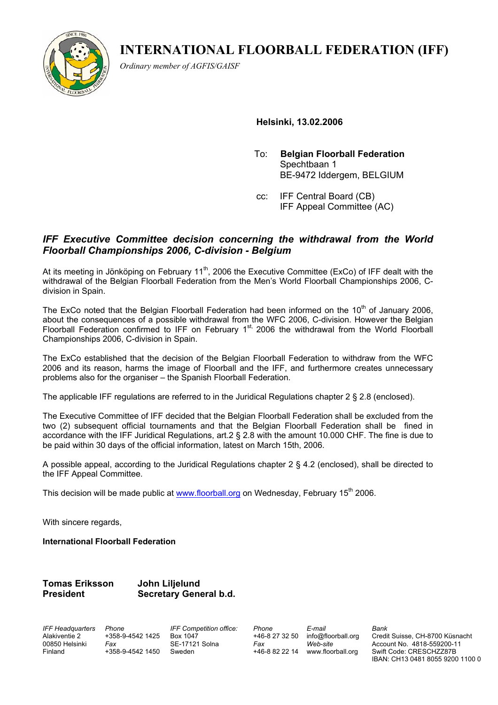**INTERNATIONAL FLOORBALL FEDERATION (IFF)** 



*Ordinary member of AGFIS/GAISF* 

 **Helsinki, 13.02.2006** 

- To: **Belgian Floorball Federation** Spechtbaan 1 BE-9472 Iddergem, BELGIUM
- cc: IFF Central Board (CB) IFF Appeal Committee (AC)

## *IFF Executive Committee decision concerning the withdrawal from the World Floorball Championships 2006, C-division - Belgium*

At its meeting in Jönköping on February 11<sup>th</sup>, 2006 the Executive Committee (ExCo) of IFF dealt with the withdrawal of the Belgian Floorball Federation from the Men's World Floorball Championships 2006, Cdivision in Spain.

The ExCo noted that the Belgian Floorball Federation had been informed on the  $10<sup>th</sup>$  of January 2006, about the consequences of a possible withdrawal from the WFC 2006, C-division. However the Belgian Floorball Federation confirmed to IFF on February 1st, 2006 the withdrawal from the World Floorball Championships 2006, C-division in Spain.

The ExCo established that the decision of the Belgian Floorball Federation to withdraw from the WFC 2006 and its reason, harms the image of Floorball and the IFF, and furthermore creates unnecessary problems also for the organiser – the Spanish Floorball Federation.

The applicable IFF regulations are referred to in the Juridical Regulations chapter 2 § 2.8 (enclosed).

The Executive Committee of IFF decided that the Belgian Floorball Federation shall be excluded from the two (2) subsequent official tournaments and that the Belgian Floorball Federation shall be fined in accordance with the IFF Juridical Regulations, art.2 § 2.8 with the amount 10.000 CHF. The fine is due to be paid within 30 days of the official information, latest on March 15th, 2006.

A possible appeal, according to the Juridical Regulations chapter 2 § 4.2 (enclosed), shall be directed to the IFF Appeal Committee.

This decision will be made public at www.floorball.org on Wednesday, February 15<sup>th</sup> 2006.

With sincere regards,

**International Floorball Federation** 

# **Tomas Eriksson John Lilielund President Secretary General b.d.**

*IFF Headquarters Phone*  Alakiventie 2 00850 Helsinki Finland

+358-9-4542 1425 *Fax*  +358-9-4542 1450 Sweden

*IFF Competition office:*  Box 1047 SE-17121 Solna

*Phone*  +46-8 27 32 50 info@floorball.org +46-8 82 22 14 www.floorball.org *E-mail Web-site* 

*Fax* 

*Bank*

Credit Suisse, CH-8700 Küsnacht Account No. 4818-559200-11 Swift Code: CRESCHZZ87B IBAN: CH13 0481 8055 9200 1100 0